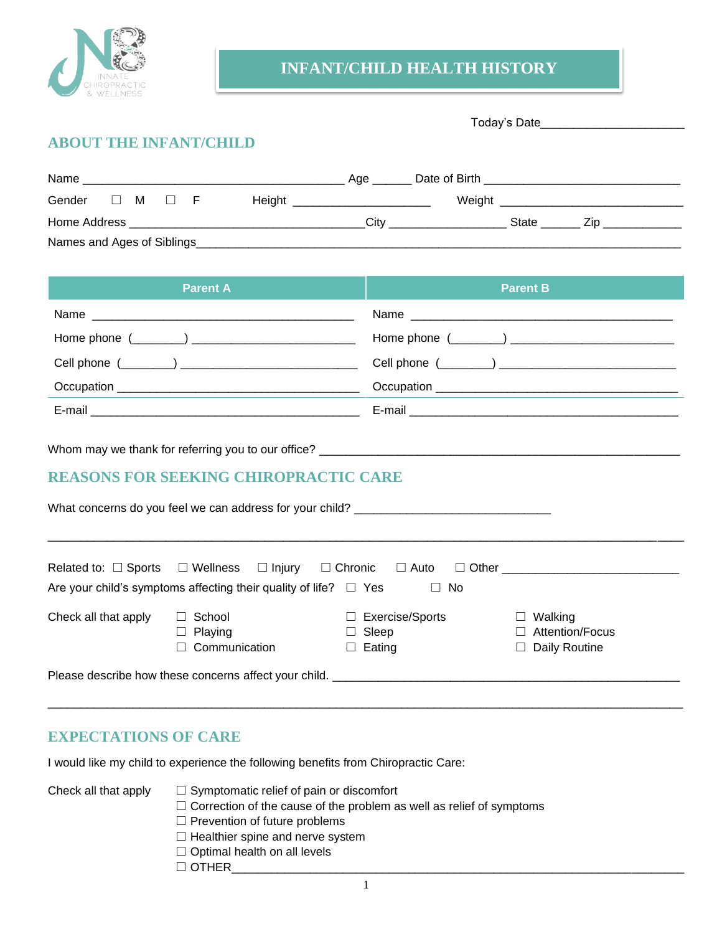

# **INFANT/CHILD HEALTH HISTORY**

# **ABOUT THE INFANT/CHILD**

| Name                                                             | Age  | Date of Birth                   |       |     |
|------------------------------------------------------------------|------|---------------------------------|-------|-----|
| Gender<br>Height __________________________<br>$\Box$ M $\Box$ F |      | Weight ________________________ |       |     |
|                                                                  | Citv |                                 | State | ∠ın |
| Names and Ages of Siblings                                       |      |                                 |       |     |

| <b>Parent A</b> | <b>Parent B</b>                                                                                                                                                                                                                |
|-----------------|--------------------------------------------------------------------------------------------------------------------------------------------------------------------------------------------------------------------------------|
|                 |                                                                                                                                                                                                                                |
|                 |                                                                                                                                                                                                                                |
|                 |                                                                                                                                                                                                                                |
|                 | Occupation example and the contract of the contract of the contract of the contract of the contract of the contract of the contract of the contract of the contract of the contract of the contract of the contract of the con |
|                 |                                                                                                                                                                                                                                |

Whom may we thank for referring you to our office?

## **REASONS FOR SEEKING CHIROPRACTIC CARE**

|                      | What concerns do you feel we can address for your child?                                                                                                                   |                                                         |                                                           |
|----------------------|----------------------------------------------------------------------------------------------------------------------------------------------------------------------------|---------------------------------------------------------|-----------------------------------------------------------|
|                      | Related to: $\square$ Sports $\square$ Wellness $\square$ Injury $\square$ Chronic $\square$ Auto<br>Are your child's symptoms affecting their quality of life? $\Box$ Yes | $\Box$ No                                               | □ Other <u>____________</u>                               |
| Check all that apply | School<br>$\Box$ Playing<br>Communication                                                                                                                                  | $\Box$ Exercise/Sports<br>$\Box$ Sleep<br>$\Box$ Eating | Walking<br>$\Box$ Attention/Focus<br>$\Box$ Daily Routine |
|                      | Please describe how these concerns affect your child. _____                                                                                                                |                                                         |                                                           |

\_\_\_\_\_\_\_\_\_\_\_\_\_\_\_\_\_\_\_\_\_\_\_\_\_\_\_\_\_\_\_\_\_\_\_\_\_\_\_\_\_\_\_\_\_\_\_\_\_\_\_\_\_\_\_\_\_\_\_\_\_\_\_\_\_\_\_\_\_\_\_\_\_\_\_\_\_\_\_\_\_\_\_\_\_\_\_\_\_\_\_\_\_\_\_\_\_

### **EXPECTATIONS OF CARE**

I would like my child to experience the following benefits from Chiropractic Care:

- Check all that apply  $\Box$  Symptomatic relief of pain or discomfort
	- □ Correction of the cause of the problem as well as relief of symptoms
	- □ Prevention of future problems
	- □ Healthier spine and nerve system
	- $\Box$  Optimal health on all levels
	- $\Box$  OTHER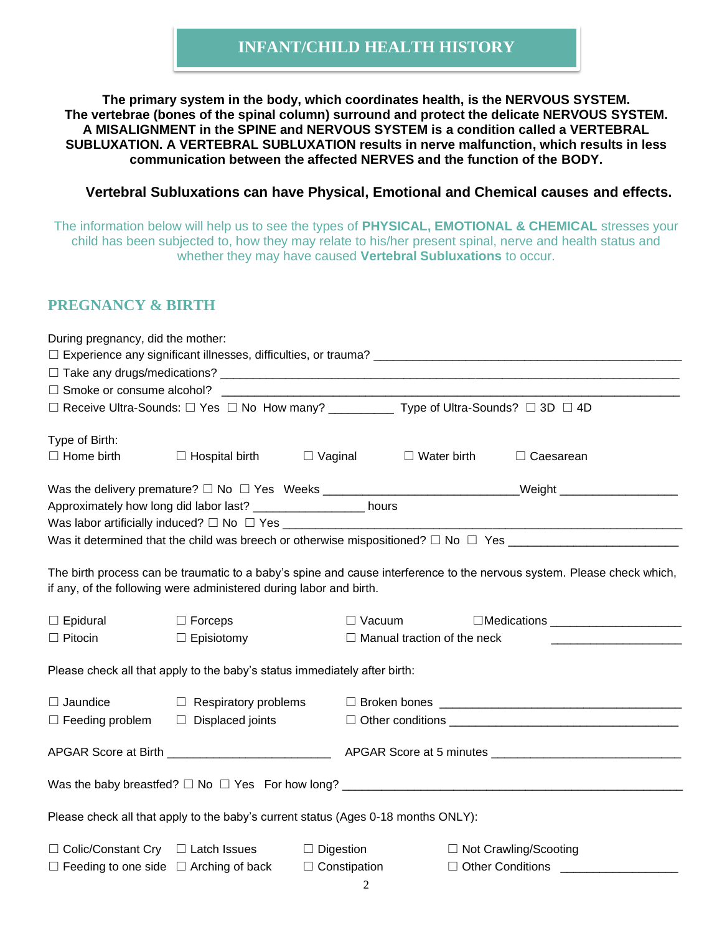# **INFANT/CHILD HEALTH HISTORY**

**The primary system in the body, which coordinates health, is the NERVOUS SYSTEM. The vertebrae (bones of the spinal column) surround and protect the delicate NERVOUS SYSTEM. A MISALIGNMENT in the SPINE and NERVOUS SYSTEM is a condition called a VERTEBRAL SUBLUXATION. A VERTEBRAL SUBLUXATION results in nerve malfunction, which results in less communication between the affected NERVES and the function of the BODY.**

#### **Vertebral Subluxations can have Physical, Emotional and Chemical causes and effects.**

The information below will help us to see the types of **PHYSICAL, EMOTIONAL & CHEMICAL** stresses your child has been subjected to, how they may relate to his/her present spinal, nerve and health status and whether they may have caused **Vertebral Subluxations** to occur.

## **PREGNANCY & BIRTH**

| During pregnancy, did the mother:              |                                                                                                           |                     |                                                     |                                  |
|------------------------------------------------|-----------------------------------------------------------------------------------------------------------|---------------------|-----------------------------------------------------|----------------------------------|
|                                                |                                                                                                           |                     |                                                     |                                  |
|                                                |                                                                                                           |                     |                                                     |                                  |
|                                                |                                                                                                           |                     |                                                     |                                  |
|                                                | □ Receive Ultra-Sounds: □ Yes □ No How many? _________ Type of Ultra-Sounds? □ 3D □ 4D                    |                     |                                                     |                                  |
| Type of Birth:                                 |                                                                                                           |                     |                                                     |                                  |
| $\Box$ Home birth                              | $\Box$ Hospital birth                                                                                     |                     | $\Box$ Vaginal $\Box$ Water birth                   | $\Box$ Caesarean                 |
|                                                |                                                                                                           |                     |                                                     |                                  |
|                                                | Approximately how long did labor last? _____________________ hours                                        |                     |                                                     |                                  |
|                                                |                                                                                                           |                     |                                                     |                                  |
|                                                |                                                                                                           |                     |                                                     |                                  |
| $\Box$ Epidural<br>$\Box$ Pitocin              | if any, of the following were administered during labor and birth.<br>$\Box$ Forceps<br>$\Box$ Episiotomy |                     | $\Box$ Vacuum<br>$\Box$ Manual traction of the neck | $\Box$ Medications               |
|                                                | Please check all that apply to the baby's status immediately after birth:                                 |                     |                                                     |                                  |
| $\Box$ Jaundice                                |                                                                                                           |                     |                                                     |                                  |
| $\Box$ Feeding problem $\Box$ Displaced joints |                                                                                                           |                     | $\Box$ Other conditions $\Box$                      |                                  |
|                                                |                                                                                                           |                     |                                                     |                                  |
|                                                |                                                                                                           |                     |                                                     |                                  |
|                                                | Please check all that apply to the baby's current status (Ages 0-18 months ONLY):                         |                     |                                                     |                                  |
| $\Box$ Colic/Constant Cry $\Box$ Latch Issues  |                                                                                                           | $\Box$ Digestion    |                                                     | □ Not Crawling/Scooting          |
|                                                | $\Box$ Feeding to one side $\Box$ Arching of back                                                         | $\Box$ Constipation |                                                     | Other Conditions _______________ |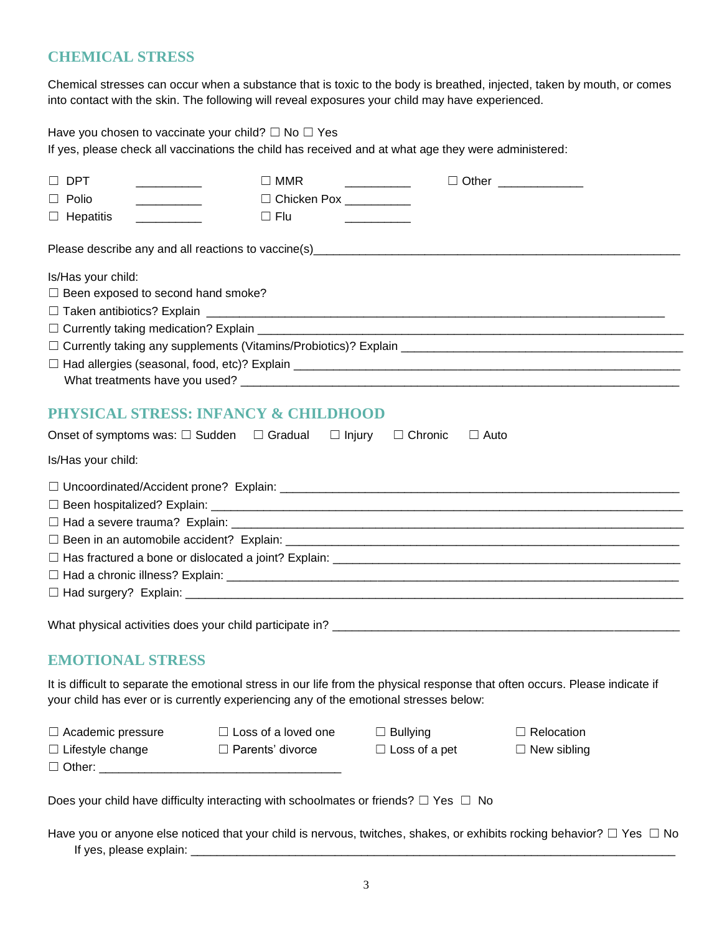## **CHEMICAL STRESS**

Chemical stresses can occur when a substance that is toxic to the body is breathed, injected, taken by mouth, or comes into contact with the skin. The following will reveal exposures your child may have experienced.

Have you chosen to vaccinate your child?  $\Box$  No  $\Box$  Yes

If yes, please check all vaccinations the child has received and at what age they were administered:

| $\Box$ DPT<br><u> 1989 - Johann Barbara, martin a</u>                                                                                     | $\Box$ MMR                                                                                          |                      | □ Other <u>____________</u>                                                                                                   |  |
|-------------------------------------------------------------------------------------------------------------------------------------------|-----------------------------------------------------------------------------------------------------|----------------------|-------------------------------------------------------------------------------------------------------------------------------|--|
| $\Box$ Polio                                                                                                                              | □ Chicken Pox __________                                                                            |                      |                                                                                                                               |  |
| $\Box$ Hepatitis<br><u> 1986 - Alexandro III, populație de la provincia de la provincia de la provincia de la provincia de la provinc</u> | $\Box$ Flu                                                                                          |                      |                                                                                                                               |  |
|                                                                                                                                           |                                                                                                     |                      |                                                                                                                               |  |
| Is/Has your child:                                                                                                                        |                                                                                                     |                      |                                                                                                                               |  |
| $\Box$ Been exposed to second hand smoke?                                                                                                 |                                                                                                     |                      |                                                                                                                               |  |
|                                                                                                                                           |                                                                                                     |                      |                                                                                                                               |  |
|                                                                                                                                           |                                                                                                     |                      |                                                                                                                               |  |
|                                                                                                                                           |                                                                                                     |                      |                                                                                                                               |  |
|                                                                                                                                           |                                                                                                     |                      |                                                                                                                               |  |
|                                                                                                                                           |                                                                                                     |                      |                                                                                                                               |  |
|                                                                                                                                           | <b>PHYSICAL STRESS: INFANCY &amp; CHILDHOOD</b>                                                     |                      |                                                                                                                               |  |
|                                                                                                                                           | Onset of symptoms was: $\square$ Sudden $\square$ Gradual $\square$ Injury $\square$ Chronic        | $\Box$ Auto          |                                                                                                                               |  |
| Is/Has your child:                                                                                                                        |                                                                                                     |                      |                                                                                                                               |  |
|                                                                                                                                           |                                                                                                     |                      |                                                                                                                               |  |
|                                                                                                                                           |                                                                                                     |                      |                                                                                                                               |  |
|                                                                                                                                           |                                                                                                     |                      |                                                                                                                               |  |
|                                                                                                                                           |                                                                                                     |                      |                                                                                                                               |  |
|                                                                                                                                           |                                                                                                     |                      |                                                                                                                               |  |
|                                                                                                                                           |                                                                                                     |                      |                                                                                                                               |  |
|                                                                                                                                           |                                                                                                     |                      |                                                                                                                               |  |
|                                                                                                                                           |                                                                                                     |                      |                                                                                                                               |  |
| <b>EMOTIONAL STRESS</b>                                                                                                                   |                                                                                                     |                      |                                                                                                                               |  |
|                                                                                                                                           | your child has ever or is currently experiencing any of the emotional stresses below:               |                      | It is difficult to separate the emotional stress in our life from the physical response that often occurs. Please indicate if |  |
| $\Box$ Academic pressure                                                                                                                  | $\Box$ Loss of a loved one                                                                          | $\Box$ Bullying      | $\Box$ Relocation                                                                                                             |  |
| $\Box$ Lifestyle change                                                                                                                   | □ Parents' divorce                                                                                  | $\Box$ Loss of a pet | $\Box$ New sibling                                                                                                            |  |
|                                                                                                                                           |                                                                                                     |                      |                                                                                                                               |  |
|                                                                                                                                           | Does your child have difficulty interacting with schoolmates or friends? $\square$ Yes $\square$ No |                      |                                                                                                                               |  |

Have you or anyone else noticed that your child is nervous, twitches, shakes, or exhibits rocking behavior? □ Yes □ No If yes, please explain: \_\_\_\_\_\_\_\_\_\_\_\_\_\_\_\_\_\_\_\_\_\_\_\_\_\_\_\_\_\_\_\_\_\_\_\_\_\_\_\_\_\_\_\_\_\_\_\_\_\_\_\_\_\_\_\_\_\_\_\_\_\_\_\_\_\_\_\_\_\_\_\_\_\_